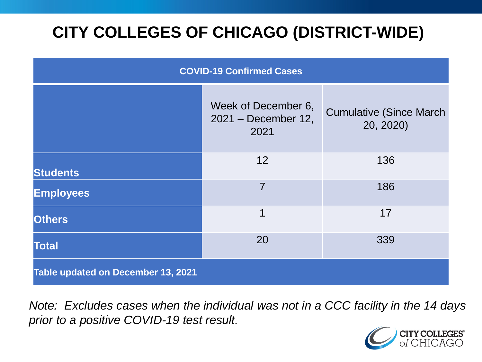# **CITY COLLEGES OF CHICAGO (DISTRICT-WIDE)**

| <b>COVID-19 Confirmed Cases</b>    |                                                      |                                              |
|------------------------------------|------------------------------------------------------|----------------------------------------------|
|                                    | Week of December 6,<br>$2021 - December 12,$<br>2021 | <b>Cumulative (Since March)</b><br>20, 2020) |
| <b>Students</b>                    | 12                                                   | 136                                          |
| <b>Employees</b>                   | $\overline{7}$                                       | 186                                          |
| <b>Others</b>                      | 1                                                    | 17                                           |
| <b>Total</b>                       | 20                                                   | 339                                          |
| Table updated on December 13, 2021 |                                                      |                                              |

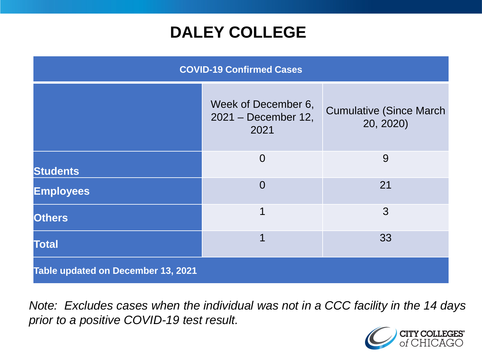## **DALEY COLLEGE**

| <b>COVID-19 Confirmed Cases</b>    |                                                    |                                              |
|------------------------------------|----------------------------------------------------|----------------------------------------------|
|                                    | Week of December 6,<br>2021 - December 12,<br>2021 | <b>Cumulative (Since March)</b><br>20, 2020) |
| <b>Students</b>                    | $\overline{0}$                                     | 9                                            |
| <b>Employees</b>                   | $\overline{0}$                                     | 21                                           |
| <b>Others</b>                      | 1                                                  | 3                                            |
| <b>Total</b>                       | 1                                                  | 33                                           |
| Table updated on December 13, 2021 |                                                    |                                              |

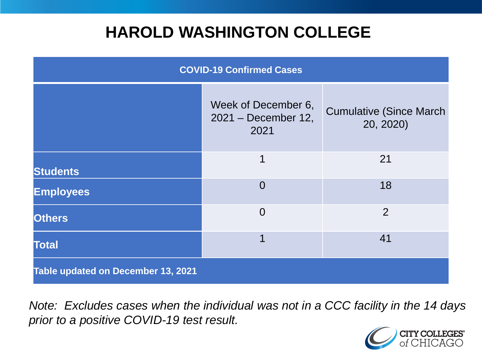## **HAROLD WASHINGTON COLLEGE**

| <b>COVID-19 Confirmed Cases</b>    |                                                     |                                              |
|------------------------------------|-----------------------------------------------------|----------------------------------------------|
|                                    | Week of December 6,<br>$2021 - December 12$<br>2021 | <b>Cumulative (Since March)</b><br>20, 2020) |
| <b>Students</b>                    | 1                                                   | 21                                           |
| <b>Employees</b>                   | $\Omega$                                            | 18                                           |
| <b>Others</b>                      | $\overline{0}$                                      | $\overline{2}$                               |
| <b>Total</b>                       | 1                                                   | 41                                           |
| Table updated on December 13, 2021 |                                                     |                                              |

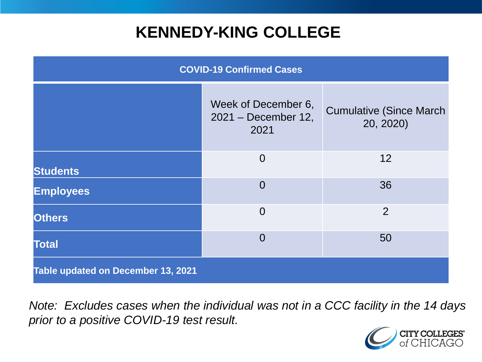## **KENNEDY-KING COLLEGE**

| <b>COVID-19 Confirmed Cases</b>    |                                                    |                                              |
|------------------------------------|----------------------------------------------------|----------------------------------------------|
|                                    | Week of December 6,<br>2021 – December 12,<br>2021 | <b>Cumulative (Since March)</b><br>20, 2020) |
| <b>Students</b>                    | $\overline{0}$                                     | 12                                           |
| <b>Employees</b>                   | $\overline{0}$                                     | 36                                           |
| <b>Others</b>                      | $\overline{0}$                                     | 2                                            |
| <b>Total</b>                       | $\overline{0}$                                     | 50                                           |
| Table updated on December 13, 2021 |                                                    |                                              |

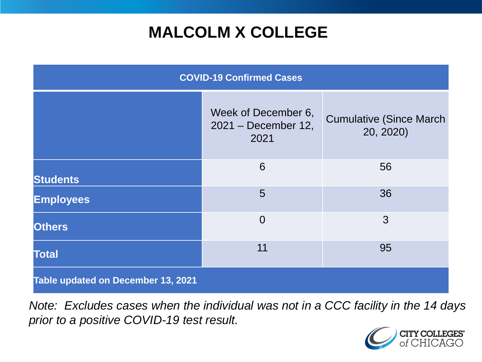# **MALCOLM X COLLEGE**

| <b>COVID-19 Confirmed Cases</b>    |                                                    |                                              |
|------------------------------------|----------------------------------------------------|----------------------------------------------|
|                                    | Week of December 6,<br>2021 - December 12,<br>2021 | <b>Cumulative (Since March)</b><br>20, 2020) |
| <b>Students</b>                    | 6                                                  | 56                                           |
| <b>Employees</b>                   | 5                                                  | 36                                           |
| <b>Others</b>                      | $\overline{0}$                                     | 3                                            |
| <b>Total</b>                       | 11                                                 | 95                                           |
| Table updated on December 13, 2021 |                                                    |                                              |

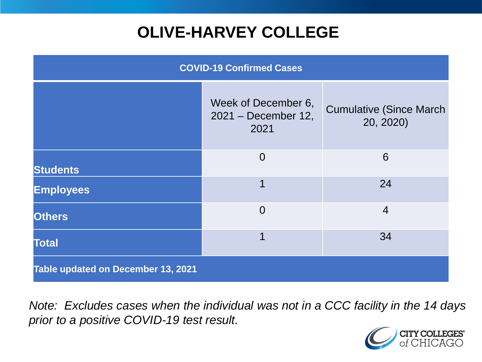# **OLIVE-HARVEY COLLEGE**

| <b>COVID-19 Confirmed Cases</b>    |                                                    |                                              |
|------------------------------------|----------------------------------------------------|----------------------------------------------|
|                                    | Week of December 6,<br>2021 - December 12,<br>2021 | <b>Cumulative (Since March)</b><br>20, 2020) |
| <b>Students</b>                    | $\overline{0}$                                     | 6                                            |
| <b>Employees</b>                   |                                                    | 24                                           |
| <b>Others</b>                      | $\overline{0}$                                     | $\overline{4}$                               |
| <b>Total</b>                       |                                                    | 34                                           |
| Table updated on December 13, 2021 |                                                    |                                              |

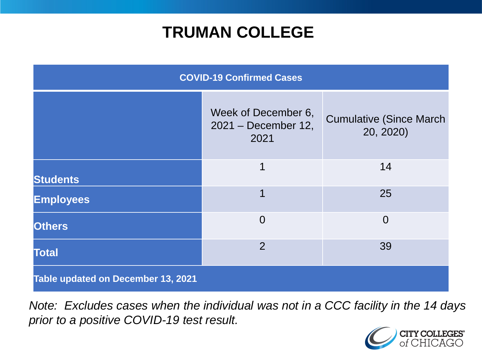## **TRUMAN COLLEGE**

| <b>COVID-19 Confirmed Cases</b>    |                                                    |                                              |
|------------------------------------|----------------------------------------------------|----------------------------------------------|
|                                    | Week of December 6,<br>2021 - December 12,<br>2021 | <b>Cumulative (Since March)</b><br>20, 2020) |
| <b>Students</b>                    | 1                                                  | 14                                           |
| <b>Employees</b>                   | 1                                                  | 25                                           |
| <b>Others</b>                      | $\overline{0}$                                     | $\overline{0}$                               |
| <b>Total</b>                       | $\overline{2}$                                     | 39                                           |
| Table updated on December 13, 2021 |                                                    |                                              |

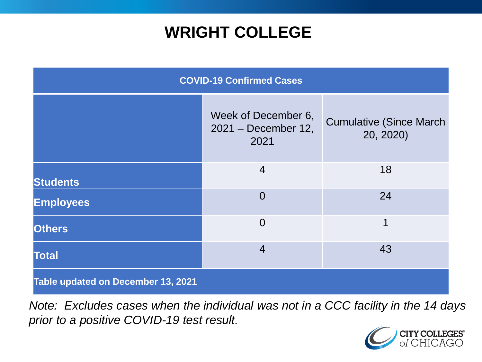## **WRIGHT COLLEGE**

| <b>COVID-19 Confirmed Cases</b>    |                                                    |                                              |
|------------------------------------|----------------------------------------------------|----------------------------------------------|
|                                    | Week of December 6,<br>2021 - December 12,<br>2021 | <b>Cumulative (Since March)</b><br>20, 2020) |
| <b>Students</b>                    | $\overline{4}$                                     | 18                                           |
| <b>Employees</b>                   | $\overline{0}$                                     | 24                                           |
| <b>Others</b>                      | $\overline{0}$                                     | 1                                            |
| <b>Total</b>                       | $\overline{4}$                                     | 43                                           |
| Table updated on December 13, 2021 |                                                    |                                              |